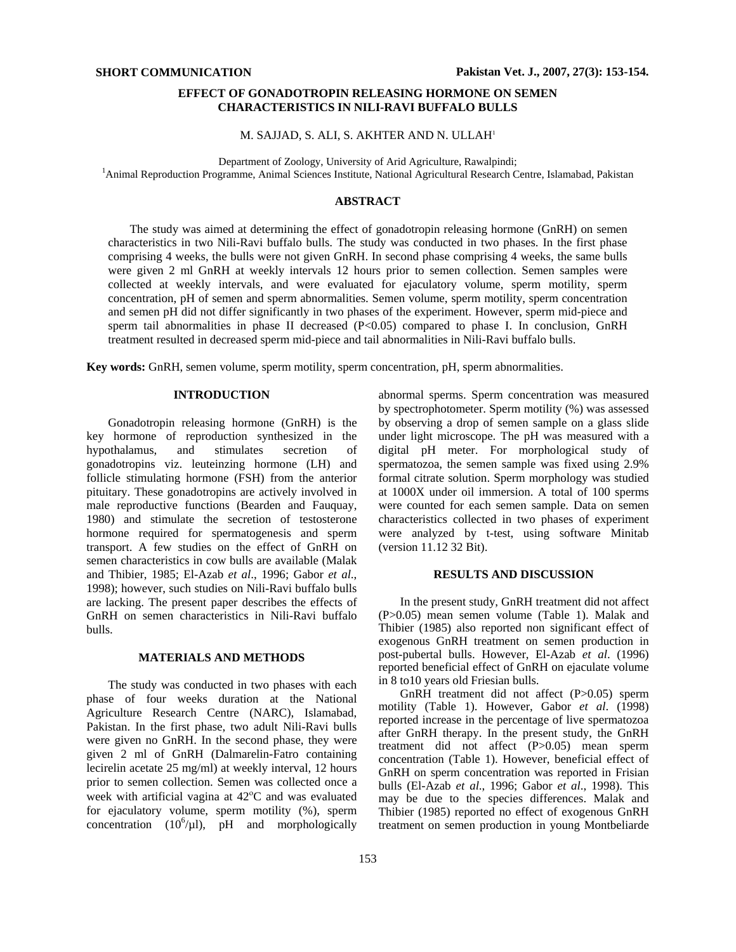# **EFFECT OF GONADOTROPIN RELEASING HORMONE ON SEMEN CHARACTERISTICS IN NILI-RAVI BUFFALO BULLS**

M. SAJJAD, S. ALI, S. AKHTER AND N. ULLAH1

Department of Zoology, University of Arid Agriculture, Rawalpindi; 1

<sup>1</sup> Animal Reproduction Programme, Animal Sciences Institute, National Agricultural Research Centre, Islamabad, Pakistan

# **ABSTRACT**

The study was aimed at determining the effect of gonadotropin releasing hormone (GnRH) on semen characteristics in two Nili-Ravi buffalo bulls. The study was conducted in two phases. In the first phase comprising 4 weeks, the bulls were not given GnRH. In second phase comprising 4 weeks, the same bulls were given 2 ml GnRH at weekly intervals 12 hours prior to semen collection. Semen samples were collected at weekly intervals, and were evaluated for ejaculatory volume, sperm motility, sperm concentration, pH of semen and sperm abnormalities. Semen volume, sperm motility, sperm concentration and semen pH did not differ significantly in two phases of the experiment. However, sperm mid-piece and sperm tail abnormalities in phase II decreased  $(P< 0.05)$  compared to phase I. In conclusion, GnRH treatment resulted in decreased sperm mid-piece and tail abnormalities in Nili-Ravi buffalo bulls.

**Key words:** GnRH, semen volume, sperm motility, sperm concentration, pH, sperm abnormalities.

## **INTRODUCTION**

Gonadotropin releasing hormone (GnRH) is the key hormone of reproduction synthesized in the hypothalamus, and stimulates secretion of gonadotropins viz. leuteinzing hormone (LH) and follicle stimulating hormone (FSH) from the anterior pituitary. These gonadotropins are actively involved in male reproductive functions (Bearden and Fauquay, 1980) and stimulate the secretion of testosterone hormone required for spermatogenesis and sperm transport. A few studies on the effect of GnRH on semen characteristics in cow bulls are available (Malak and Thibier, 1985; El-Azab *et al*., 1996; Gabor *et al*., 1998); however, such studies on Nili-Ravi buffalo bulls are lacking. The present paper describes the effects of GnRH on semen characteristics in Nili-Ravi buffalo bulls.

#### **MATERIALS AND METHODS**

The study was conducted in two phases with each phase of four weeks duration at the National Agriculture Research Centre (NARC), Islamabad, Pakistan. In the first phase, two adult Nili-Ravi bulls were given no GnRH. In the second phase, they were given 2 ml of GnRH (Dalmarelin-Fatro containing lecirelin acetate 25 mg/ml) at weekly interval, 12 hours prior to semen collection. Semen was collected once a week with artificial vagina at 42°C and was evaluated for ejaculatory volume, sperm motility (%), sperm concentration  $(10^6/\mu l)$ , pH and morphologically abnormal sperms. Sperm concentration was measured by spectrophotometer. Sperm motility (%) was assessed by observing a drop of semen sample on a glass slide under light microscope. The pH was measured with a digital pH meter. For morphological study of spermatozoa, the semen sample was fixed using 2.9% formal citrate solution. Sperm morphology was studied at 1000X under oil immersion. A total of 100 sperms were counted for each semen sample. Data on semen characteristics collected in two phases of experiment were analyzed by t-test, using software Minitab (version 11.12 32 Bit).

## **RESULTS AND DISCUSSION**

In the present study, GnRH treatment did not affect (P>0.05) mean semen volume (Table 1). Malak and Thibier (1985) also reported non significant effect of exogenous GnRH treatment on semen production in post-pubertal bulls. However, El-Azab *et al*. (1996) reported beneficial effect of GnRH on ejaculate volume in 8 to10 years old Friesian bulls.

GnRH treatment did not affect (P>0.05) sperm motility (Table 1). However, Gabor *et al*. (1998) reported increase in the percentage of live spermatozoa after GnRH therapy. In the present study, the GnRH treatment did not affect (P>0.05) mean sperm concentration (Table 1). However, beneficial effect of GnRH on sperm concentration was reported in Frisian bulls (El-Azab *et al*., 1996; Gabor *et al*., 1998). This may be due to the species differences. Malak and Thibier (1985) reported no effect of exogenous GnRH treatment on semen production in young Montbeliarde